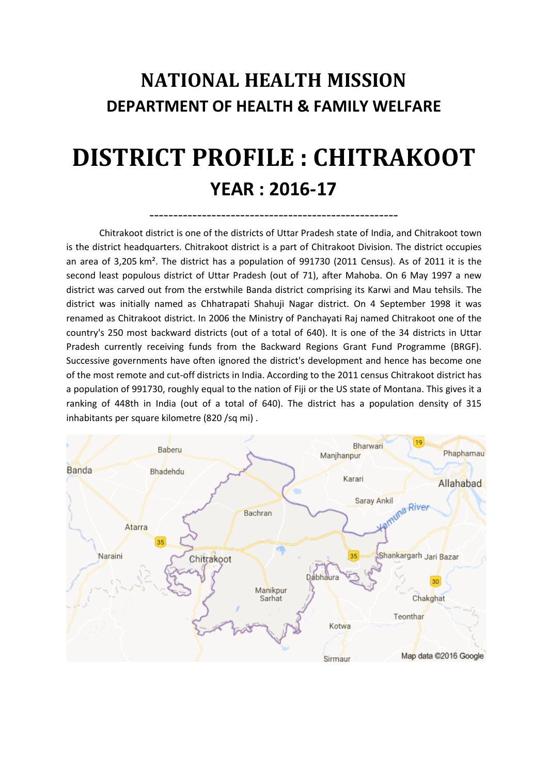# **NATIONAL HEALTH MISSION DEPARTMENT OF HEALTH & FAMILY WELFARE**

# **DISTRICT PROFILE : CHITRAKOOT YEAR : 2016-17**

----------------------------------------------------

Chitrakoot district is one of the [districts](http://en.wikipedia.org/wiki/Districts_of_Uttar_Pradesh) o[f Uttar Pradesh](http://en.wikipedia.org/wiki/Uttar_Pradesh) [state](http://en.wikipedia.org/wiki/States_and_territories_of_India) of [India,](http://en.wikipedia.org/wiki/India) and [Chitrakoot](http://en.wikipedia.org/wiki/Chitrakoot_Dham_%28Karwi%29) town is the district headquarters. Chitrakoot district is a part of [Chitrakoot Division.](http://en.wikipedia.org/wiki/Chitrakoot_Division) The district occupies an area of 3,205 km². The district has a population of 991730 (2011 Census). As of 2011 it is the second least populous district of Uttar Pradesh (out of [71\)](http://en.wikipedia.org/wiki/List_of_districts_of_Uttar_Pradesh), after [Mahoba.](http://en.wikipedia.org/wiki/Mahoba_district) On 6 May 1997 a new district was carved out from the erstwhile [Banda district](http://en.wikipedia.org/wiki/Banda_district) comprising its Karwi and Mau tehsils. The district was initially named as Chhatrapati Shahuji Nagar district. On 4 September 1998 it was renamed as Chitrakoot district. In 2006 the [Ministry of Panchayati Raj](http://en.wikipedia.org/wiki/Ministry_of_Panchayati_Raj) named Chitrakoot one of the country's 250 [most backward districts](http://en.wikipedia.org/wiki/Poverty_in_India) (out of a total of [640\)](http://en.wikipedia.org/wiki/Districts_of_India). It is one of the 34 districts in Uttar Pradesh currently receiving funds from the Backward Regions Grant Fund Programme (BRGF). Successive governments have often ignored the district's development and hence has become one of the most remote and cut-off districts in India. According to the [2011 census](http://en.wikipedia.org/wiki/2011_census_of_India) Chitrakoot district has a [population](http://en.wikipedia.org/wiki/Demographics_of_India) of 991730, roughly equal to the nation of [Fiji](http://en.wikipedia.org/wiki/Fiji) or the US state of [Montana.](http://en.wikipedia.org/wiki/Montana) This gives it a ranking of 448th in India (out of a total of [640\)](http://en.wikipedia.org/wiki/Districts_of_India). The district has a population density of 315 inhabitants per square kilometre (820 /sq mi) .

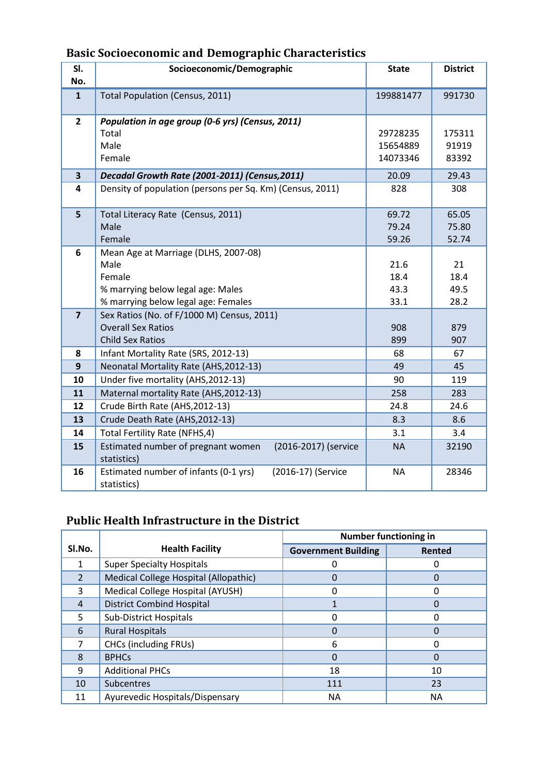| SI.                     | Socioeconomic/Demographic                                   | <b>State</b> | <b>District</b> |
|-------------------------|-------------------------------------------------------------|--------------|-----------------|
| No.                     |                                                             |              |                 |
| $\mathbf{1}$            | <b>Total Population (Census, 2011)</b>                      | 199881477    | 991730          |
| $\overline{2}$          | Population in age group (0-6 yrs) (Census, 2011)            |              |                 |
|                         | Total                                                       | 29728235     | 175311          |
|                         | Male                                                        | 15654889     | 91919           |
|                         | Female                                                      | 14073346     | 83392           |
| $\overline{\mathbf{3}}$ | Decadal Growth Rate (2001-2011) (Census, 2011)              | 20.09        | 29.43           |
| 4                       | Density of population (persons per Sq. Km) (Census, 2011)   | 828          | 308             |
|                         |                                                             |              |                 |
| 5                       | Total Literacy Rate (Census, 2011)                          | 69.72        | 65.05           |
|                         | Male                                                        | 79.24        | 75.80           |
|                         | Female                                                      | 59.26        | 52.74           |
| 6                       | Mean Age at Marriage (DLHS, 2007-08)                        |              |                 |
|                         | Male<br>Female                                              | 21.6<br>18.4 | 21<br>18.4      |
|                         | % marrying below legal age: Males                           | 43.3         | 49.5            |
|                         | % marrying below legal age: Females                         | 33.1         | 28.2            |
| $\overline{7}$          | Sex Ratios (No. of F/1000 M) Census, 2011)                  |              |                 |
|                         | <b>Overall Sex Ratios</b>                                   | 908          | 879             |
|                         | <b>Child Sex Ratios</b>                                     | 899          | 907             |
| 8                       | Infant Mortality Rate (SRS, 2012-13)                        | 68           | 67              |
| 9                       | Neonatal Mortality Rate (AHS, 2012-13)                      | 49           | 45              |
| 10                      | Under five mortality (AHS, 2012-13)                         | 90           | 119             |
| 11                      | Maternal mortality Rate (AHS, 2012-13)                      | 258          | 283             |
| 12                      | Crude Birth Rate (AHS, 2012-13)                             | 24.8         | 24.6            |
| 13                      | Crude Death Rate (AHS, 2012-13)                             | 8.3          | 8.6             |
| 14                      | <b>Total Fertility Rate (NFHS,4)</b>                        | 3.1          | 3.4             |
| 15                      | Estimated number of pregnant women<br>(2016-2017) (service  | <b>NA</b>    | 32190           |
|                         | statistics)                                                 |              |                 |
| 16                      | Estimated number of infants (0-1 yrs)<br>(2016-17) (Service | <b>NA</b>    | 28346           |
|                         | statistics)                                                 |              |                 |

# **Basic Socioeconomic and Demographic Characteristics**

#### **Public Health Infrastructure in the District**

|                |                                       | <b>Number functioning in</b> |           |
|----------------|---------------------------------------|------------------------------|-----------|
| SI.No.         | <b>Health Facility</b>                | <b>Government Building</b>   | Rented    |
|                | <b>Super Specialty Hospitals</b>      |                              |           |
| $\mathfrak{p}$ | Medical College Hospital (Allopathic) |                              |           |
| 3              | Medical College Hospital (AYUSH)      | ი                            |           |
| 4              | <b>District Combind Hospital</b>      |                              | $\Omega$  |
| 5              | <b>Sub-District Hospitals</b>         | ი                            | 0         |
| 6              | <b>Rural Hospitals</b>                | 0                            | 0         |
| 7              | <b>CHCs (including FRUs)</b>          | 6                            | O         |
| $\mathsf{R}$   | <b>BPHCs</b>                          | 0                            | 0         |
| 9              | <b>Additional PHCs</b>                | 18                           | 10        |
| 10             | Subcentres                            | 111                          | 23        |
| 11             | Ayurevedic Hospitals/Dispensary       | NА                           | <b>NA</b> |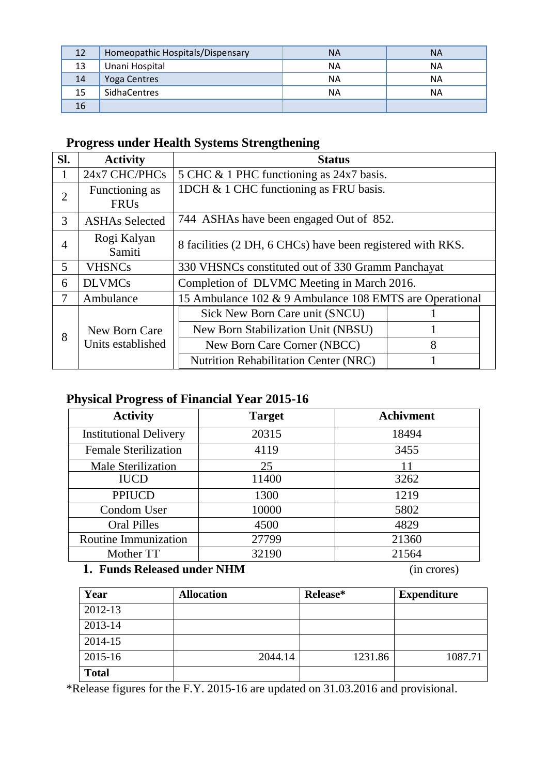| 12 | Homeopathic Hospitals/Dispensary | <b>NA</b> | <b>NA</b> |
|----|----------------------------------|-----------|-----------|
| 13 | Unani Hospital                   | ΝA        | <b>NA</b> |
| 14 | Yoga Centres                     | NA        | <b>NA</b> |
| 15 | <b>SidhaCentres</b>              | ΝA        | NΑ        |
| 16 |                                  |           |           |

## **Progress under Health Systems Strengthening**

| SI.            | <b>Activity</b>                          | <b>Status</b>                                              |   |  |
|----------------|------------------------------------------|------------------------------------------------------------|---|--|
|                | 24x7 CHC/PHCs                            | 5 CHC & 1 PHC functioning as 24x7 basis.                   |   |  |
| $\overline{2}$ | Functioning as<br><b>FRU<sub>s</sub></b> | 1DCH & 1 CHC functioning as FRU basis.                     |   |  |
| 3              | <b>ASHAs Selected</b>                    | 744 ASHAs have been engaged Out of 852.                    |   |  |
| 4              | Rogi Kalyan<br>Samiti                    | 8 facilities (2 DH, 6 CHCs) have been registered with RKS. |   |  |
| 5              | <b>VHSNCs</b>                            | 330 VHSNCs constituted out of 330 Gramm Panchayat          |   |  |
| 6              | <b>DLVMCs</b>                            | Completion of DLVMC Meeting in March 2016.                 |   |  |
| 7              | Ambulance                                | 15 Ambulance 102 & 9 Ambulance 108 EMTS are Operational    |   |  |
|                |                                          | Sick New Born Care unit (SNCU)                             |   |  |
| 8              | New Born Care                            | New Born Stabilization Unit (NBSU)                         |   |  |
|                | Units established                        | New Born Care Corner (NBCC)                                | 8 |  |
|                |                                          | <b>Nutrition Rehabilitation Center (NRC)</b>               |   |  |

### **Physical Progress of Financial Year 2015-16**

| <b>Activity</b>               | <b>Target</b> | <b>Achivment</b> |
|-------------------------------|---------------|------------------|
| <b>Institutional Delivery</b> | 20315         | 18494            |
| <b>Female Sterilization</b>   | 4119          | 3455             |
| <b>Male Sterilization</b>     | 25            | 11               |
| <b>IUCD</b>                   | 11400         | 3262             |
| <b>PPIUCD</b>                 | 1300          | 1219             |
| Condom User                   | 10000         | 5802             |
| <b>Oral Pilles</b>            | 4500          | 4829             |
| Routine Immunization          | 27799         | 21360            |
| Mother TT                     | 32190         | 21564            |

#### **1. Funds Released under NHM** (in crores)

| Year         | <b>Allocation</b> | Release* | <b>Expenditure</b> |
|--------------|-------------------|----------|--------------------|
| 2012-13      |                   |          |                    |
| 2013-14      |                   |          |                    |
| 2014-15      |                   |          |                    |
| 2015-16      | 2044.14           | 1231.86  | 1087.71            |
| <b>Total</b> |                   |          |                    |

\*Release figures for the F.Y. 2015-16 are updated on 31.03.2016 and provisional.